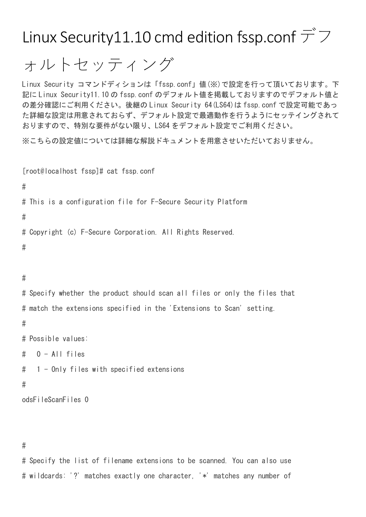Linux Security11.10 cmd edition fssp.conf  $\vec{\mathcal{T}}$ 

ォルトセッティング

Linux Security コマンドディションは「fssp.conf」値(※)で設定を行って頂いております。下 記に Linux Security11.10 の fssp.conf のデフォルト値を掲載しておりますのでデフォルト値と の差分確認にご利用ください。後継の Linux Security 64(LS64)は fssp.conf で設定可能であっ た詳細な設定は用意されておらず、デフォルト設定で最適動作を行うようにセッテイングされて おりますので、特別な要件がない限り、LS64 をデフォルト設定でご利用ください。

※こちらの設定値については詳細な解説ドキュメントを用意させいただいておりません。

```
[root@localhost fssp]# cat fssp.conf 
#
# This is a configuration file for F-Secure Security Platform
#
# Copyright (c) F-Secure Corporation. All Rights Reserved.
#
```
## #

# Specify whether the product should scan all files or only the files that # match the extensions specified in the 'Extensions to Scan' setting. # # Possible values:  $\#$  0 - All files # 1 - Only files with specified extensions

### #

```
odsFileScanFiles 0
```
# #

# Specify the list of filename extensions to be scanned. You can also use # wildcards: '?' matches exactly one character, '\*' matches any number of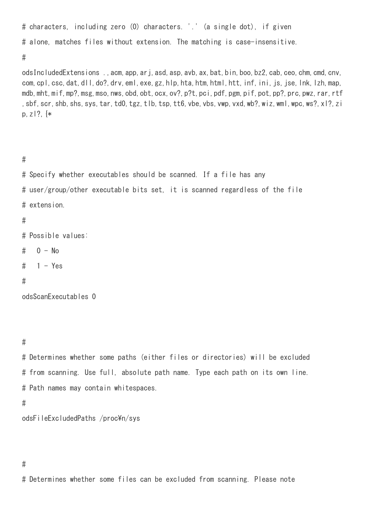# characters, including zero (0) characters. '.' (a single dot), if given # alone, matches files without extension. The matching is case-insensitive. #

odsIncludedExtensions ., acm, app, arj, asd, asp, avb, ax, bat, bin, boo, bz2, cab, ceo, chm, cmd, cnv, com,cpl,csc,dat,dll,do?,drv,eml,exe,gz,hlp,hta,htm,html,htt,inf,ini,js,jse,lnk,lzh,map, mdb,mht,mif,mp?,msg,mso,nws,obd,obt,ocx,ov?,p?t,pci,pdf,pgm,pif,pot,pp?,prc,pwz,rar,rtf ,sbf,scr,shb,shs,sys,tar,td0,tgz,tlb,tsp,tt6,vbe,vbs,vwp,vxd,wb?,wiz,wml,wpc,ws?,xl?,zi p,  $z$  | ?,  $*$ 

## #

# Specify whether executables should be scanned. If a file has any # user/group/other executable bits set, it is scanned regardless of the file # extension.

# #

# Possible values:

- $# 0 No$
- $# 1 Yes$

## #

odsScanExecutables 0

## #

# Determines whether some paths (either files or directories) will be excluded # from scanning. Use full, absolute path name. Type each path on its own line. # Path names may contain whitespaces.

#

```
odsFileExcludedPaths /proc\n/sys
```
# #

# Determines whether some files can be excluded from scanning. Please note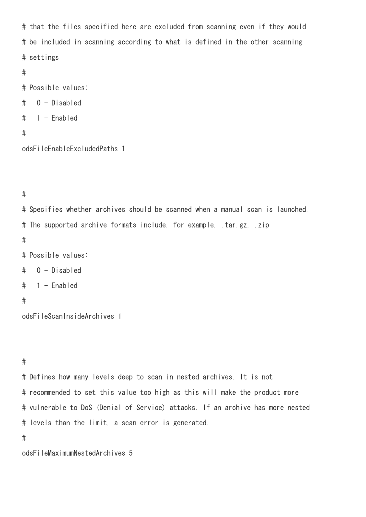# that the files specified here are excluded from scanning even if they would # be included in scanning according to what is defined in the other scanning # settings

```
#
```
# Possible values:

# 0 - Disabled

# 1 - Enabled

#

odsFileEnableExcludedPaths 1

#

# Specifies whether archives should be scanned when a manual scan is launched. # The supported archive formats include, for example, .tar.gz, .zip # # Possible values: # 0 - Disabled # 1 - Enabled # odsFileScanInsideArchives 1

# #

# Defines how many levels deep to scan in nested archives. It is not # recommended to set this value too high as this will make the product more # vulnerable to DoS (Denial of Service) attacks. If an archive has more nested # levels than the limit, a scan error is generated.

#

odsFileMaximumNestedArchives 5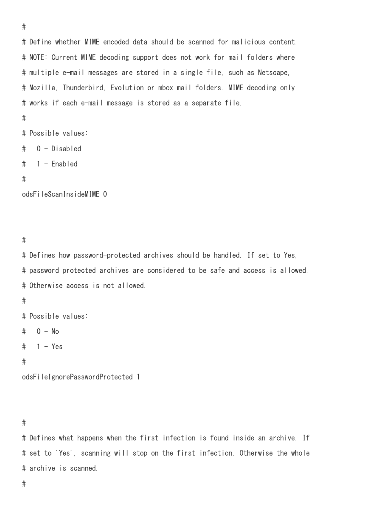```
# Define whether MIME encoded data should be scanned for malicious content.
# NOTE: Current MIME decoding support does not work for mail folders where
# multiple e-mail messages are stored in a single file, such as Netscape,
# Mozilla, Thunderbird, Evolution or mbox mail folders. MIME decoding only
# works if each e-mail message is stored as a separate file.
#
# Possible values:
# 0 - Disabled
# 1 - Enabled
#
```
odsFileScanInsideMIME 0

#

#

# Defines how password-protected archives should be handled. If set to Yes, # password protected archives are considered to be safe and access is allowed. # Otherwise access is not allowed.

### #

# Possible values:

 $# 0 - No$ 

```
# 1 - Yes
```

```
#
```
odsFileIgnorePasswordProtected 1

### #

# Defines what happens when the first infection is found inside an archive. If # set to 'Yes', scanning will stop on the first infection. Otherwise the whole # archive is scanned.

#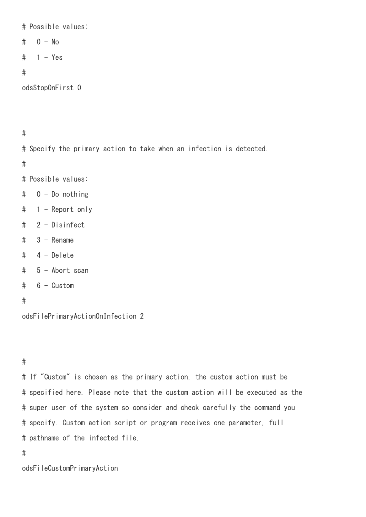# Possible values:

- $\#$  0 No
- $# 1 Yes$

### #

odsStopOnFirst 0

# #

# Specify the primary action to take when an infection is detected.

#

# Possible values:

- # 0 Do nothing
- # 1 Report only
- # 2 Disinfect
- $# 3 -$  Rename
- # 4 Delete
- # 5 Abort scan
- # 6 Custom

## #

odsFilePrimaryActionOnInfection 2

# #

# If "Custom" is chosen as the primary action, the custom action must be # specified here. Please note that the custom action will be executed as the # super user of the system so consider and check carefully the command you # specify. Custom action script or program receives one parameter, full # pathname of the infected file.

#

odsFileCustomPrimaryAction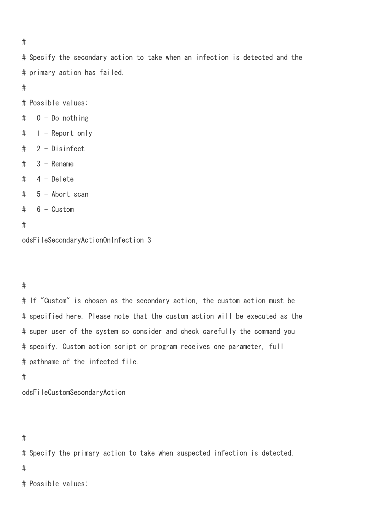# Specify the secondary action to take when an infection is detected and the # primary action has failed.

#

- # Possible values:
- # 0 Do nothing
- # 1 Report only
- # 2 Disinfect
- $\#$  3 Rename
- # 4 Delete
- # 5 Abort scan
- # 6 Custom

```
#
```
odsFileSecondaryActionOnInfection 3

## #

# If "Custom" is chosen as the secondary action, the custom action must be # specified here. Please note that the custom action will be executed as the # super user of the system so consider and check carefully the command you # specify. Custom action script or program receives one parameter, full # pathname of the infected file.

## #

odsFileCustomSecondaryAction

# Specify the primary action to take when suspected infection is detected.

#

# Possible values:

<sup>#</sup>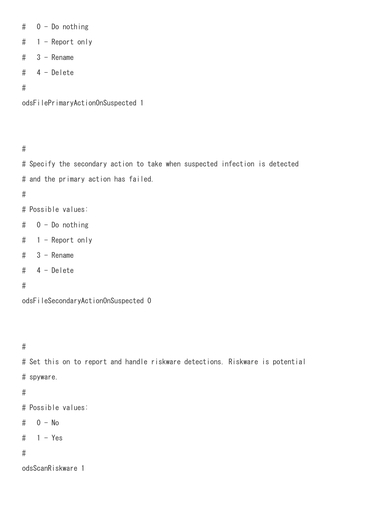```
# 0 - Do nothing
# 1 - Report only
# 3 - Rename
# 4 - Delete
#
```
odsFilePrimaryActionOnSuspected 1

#

# Specify the secondary action to take when suspected infection is detected # and the primary action has failed.

#

- # Possible values:
- # 0 Do nothing
- # 1 Report only
- $# 3 -$  Rename
- # 4 Delete

# #

odsFileSecondaryActionOnSuspected 0

# #

# Set this on to report and handle riskware detections. Riskware is potential # spyware.

# #

# Possible values:

# 0 - No

 $# 1 - Yes$ 

# #

odsScanRiskware 1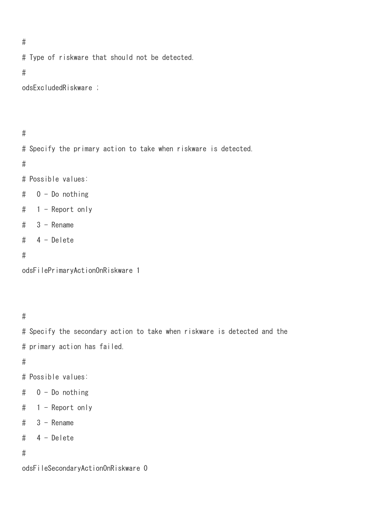```
# Type of riskware that should not be detected.
```

```
#
```

```
odsExcludedRiskware ;
```
#

# Specify the primary action to take when riskware is detected. # # Possible values: # 0 - Do nothing # 1 - Report only  $# 3 -$  Rename # 4 - Delete

#

```
odsFilePrimaryActionOnRiskware 1
```
#

# Specify the secondary action to take when riskware is detected and the # primary action has failed.

#

- # Possible values:
- # 0 Do nothing
- # 1 Report only
- $# 3 -$  Rename
- # 4 Delete

#

odsFileSecondaryActionOnRiskware 0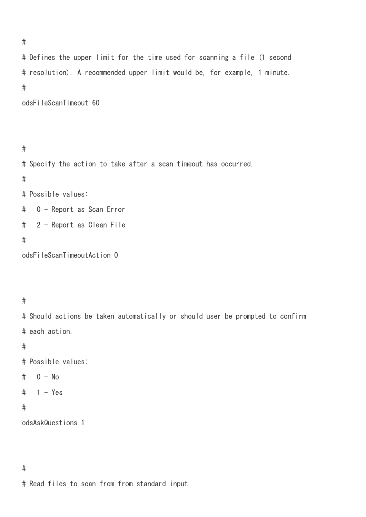# Defines the upper limit for the time used for scanning a file (1 second # resolution). A recommended upper limit would be, for example, 1 minute. #

odsFileScanTimeout 60

```
#
# Specify the action to take after a scan timeout has occurred.
#
# Possible values:
# 0 - Report as Scan Error
# 2 - Report as Clean File
#
odsFileScanTimeoutAction 0
```
# #

# Should actions be taken automatically or should user be prompted to confirm # each action.

# #

- # Possible values:
- $#$  0 No
- $# 1 Yes$

# #

odsAskQuestions 1

# #

# Read files to scan from from standard input.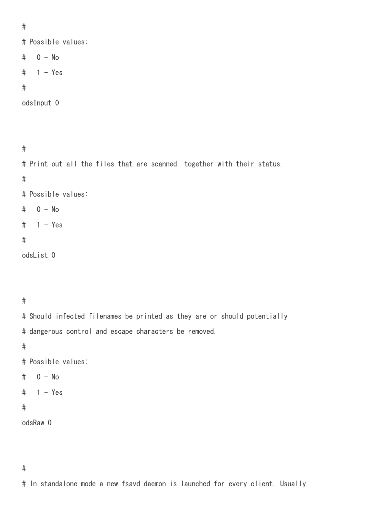# Possible values:

- # 0 No
- $# 1 Yes$
- #

```
odsInput 0
```
#

# Print out all the files that are scanned, together with their status. # # Possible values: # 0 - No  $# 1 - Yes$ # odsList 0

#

# Should infected filenames be printed as they are or should potentially # dangerous control and escape characters be removed.

#

- # Possible values:
- # 0 No
- $# 1 Yes$

# #

```
odsRaw 0
```
# In standalone mode a new fsavd daemon is launched for every client. Usually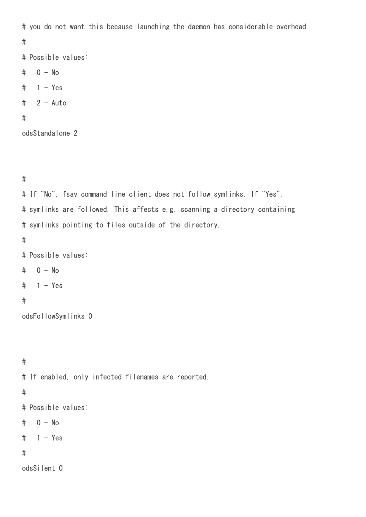```
# you do not want this because launching the daemon has considerable overhead.
```

```
#
```
# Possible values:

# 0 - No

- $# 1 Yes$
- $# 2 Auto$

## #

```
odsStandalone 2
```

```
#
```

```
# If "No", fsav command line client does not follow symlinks. If "Yes",
# symlinks are followed. This affects e.g. scanning a directory containing
# symlinks pointing to files outside of the directory.
#
# Possible values:
# 0 - No
# 1 - Yes#
odsFollowSymlinks 0
```
# # If enabled, only infected filenames are reported. # # Possible values: # 0 - No  $# 1 - Yes$ # odsSilent 0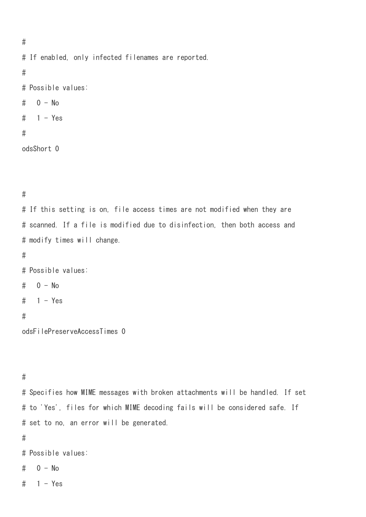```
#
# If enabled, only infected filenames are reported.
#
# Possible values:
# 0 - No
# 1 - Yes#
odsShort 0
```
# If this setting is on, file access times are not modified when they are # scanned. If a file is modified due to disinfection, then both access and # modify times will change.

# #

```
# Possible values:
```

```
\# 0 - No
```

```
# 1 - Yes
```
## #

```
odsFilePreserveAccessTimes 0
```
# #

# Specifies how MIME messages with broken attachments will be handled. If set # to 'Yes', files for which MIME decoding fails will be considered safe. If # set to no, an error will be generated.

## #

# Possible values:

- $# 0 No$
- $# 1 Yes$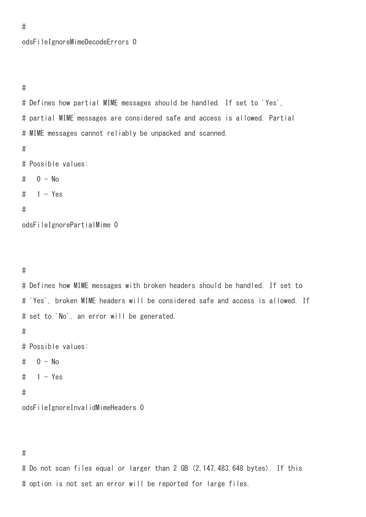odsFileIgnoreMimeDecodeErrors 0

#

#

# Defines how partial MIME messages should be handled. If set to 'Yes', # partial MIME messages are considered safe and access is allowed. Partial # MIME messages cannot reliably be unpacked and scanned.

#

# Possible values:

 $# 0 - No$ 

 $# 1 - Yes$ 

#### #

odsFileIgnorePartialMime 0

#

# Defines how MIME messages with broken headers should be handled. If set to # 'Yes', broken MIME headers will be considered safe and access is allowed. If # set to 'No', an error will be generated.

#

# Possible values:

```
# 0 - No
```
 $# 1 - Yes$ 

### #

odsFileIgnoreInvalidMimeHeaders 0

#

# Do not scan files equal or larger than 2 GB (2,147,483,648 bytes). If this # option is not set an error will be reported for large files.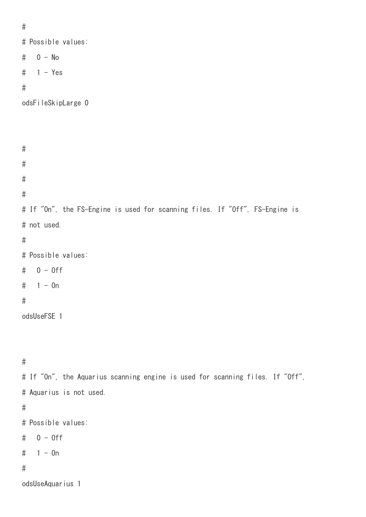```
#
# Possible values:
# 0 - No
# 1 - Yes#
odsFileSkipLarge 0
#
#
#
#
# If "On", the FS-Engine is used for scanning files. If "Off", FS-Engine is
# not used.
#
# Possible values:
# 0 - Off
# 1 - 0n#
odsUseFSE 1
#
# If "On", the Aquarius scanning engine is used for scanning files. If "Off",
# Aquarius is not used.
#
# Possible values:
# 0 - Off
# 1 - 0n#
```
odsUseAquarius 1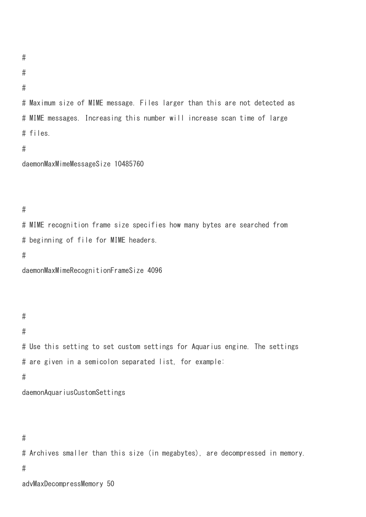```
#
```
#

# Maximum size of MIME message. Files larger than this are not detected as # MIME messages. Increasing this number will increase scan time of large # files.

#

```
daemonMaxMimeMessageSize 10485760
```
# #

# MIME recognition frame size specifies how many bytes are searched from # beginning of file for MIME headers.

#

```
daemonMaxMimeRecognitionFrameSize 4096
```
#

#

# Use this setting to set custom settings for Aquarius engine. The settings # are given in a semicolon separated list, for example:

#

daemonAquariusCustomSettings

# #

# Archives smaller than this size (in megabytes), are decompressed in memory. #

advMaxDecompressMemory 50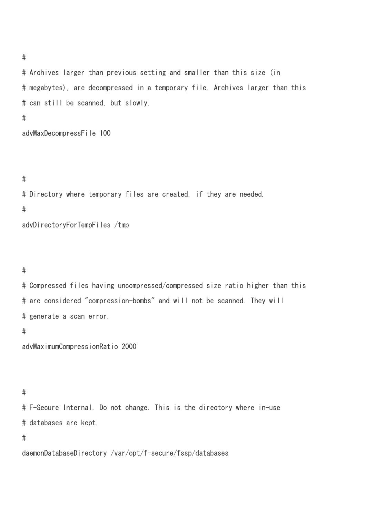# Archives larger than previous setting and smaller than this size (in # megabytes), are decompressed in a temporary file. Archives larger than this # can still be scanned, but slowly. #

advMaxDecompressFile 100

### #

# Directory where temporary files are created, if they are needed. # advDirectoryForTempFiles /tmp

# #

# Compressed files having uncompressed/compressed size ratio higher than this # are considered "compression-bombs" and will not be scanned. They will # generate a scan error.

### #

advMaximumCompressionRatio 2000

## #

# F-Secure Internal. Do not change. This is the directory where in-use # databases are kept.

## #

daemonDatabaseDirectory /var/opt/f-secure/fssp/databases

#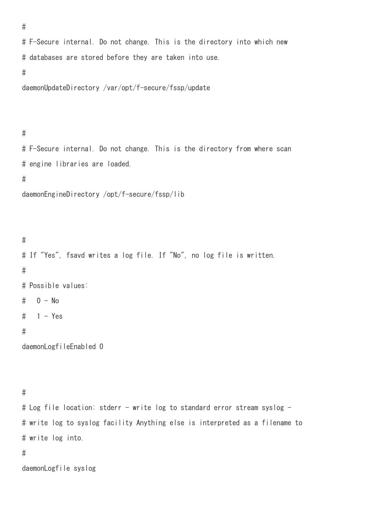```
# F-Secure internal. Do not change. This is the directory into which new
# databases are stored before they are taken into use.
#
daemonUpdateDirectory /var/opt/f-secure/fssp/update
```
#

```
# F-Secure internal. Do not change. This is the directory from where scan
# engine libraries are loaded.
#
```

```
daemonEngineDirectory /opt/f-secure/fssp/lib
```

```
#
# If "Yes", fsavd writes a log file. If "No", no log file is written.
#
# Possible values:
# 0 - No# 1 - Yes#
```

```
daemonLogfileEnabled 0
```
# #

```
# Log file location: stderr - write log to standard error stream syslog -
# write log to syslog facility Anything else is interpreted as a filename to
# write log into.
```
## #

daemonLogfile syslog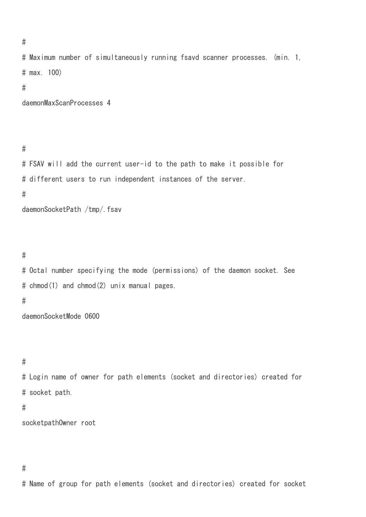```
#
```
# Maximum number of simultaneously running fsavd scanner processes. (min. 1, # max. 100) # daemonMaxScanProcesses 4

## #

# FSAV will add the current user-id to the path to make it possible for # different users to run independent instances of the server. #

daemonSocketPath /tmp/.fsav

#

# Octal number specifying the mode (permissions) of the daemon socket. See # chmod(1) and chmod(2) unix manual pages.

#

daemonSocketMode 0600

#

# Login name of owner for path elements (socket and directories) created for # socket path.

## #

socketpathOwner root

# #

# Name of group for path elements (socket and directories) created for socket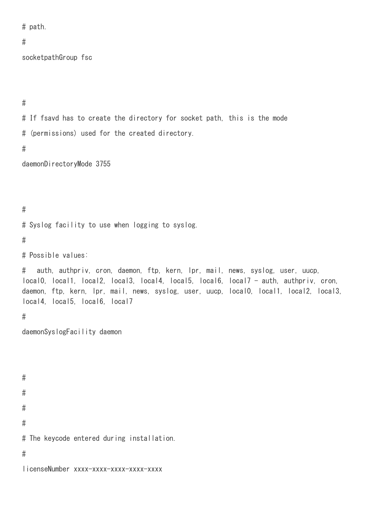# path.

## #

socketpathGroup fsc

#

# If fsavd has to create the directory for socket path, this is the mode # (permissions) used for the created directory.

#

daemonDirectoryMode 3755

## #

# Syslog facility to use when logging to syslog.

#

# Possible values:

# auth, authpriv, cron, daemon, ftp, kern, lpr, mail, news, syslog, user, uucp, local0, local1, local2, local3, local4, local5, local6, local7 - auth, authpriv, cron, daemon, ftp, kern, lpr, mail, news, syslog, user, uucp, local0, local1, local2, local3, local4, local5, local6, local7

## #

daemonSyslogFacility daemon

# # # # # The keycode entered during installation. #

licenseNumber xxxx-xxxx-xxxx-xxxx-xxxx